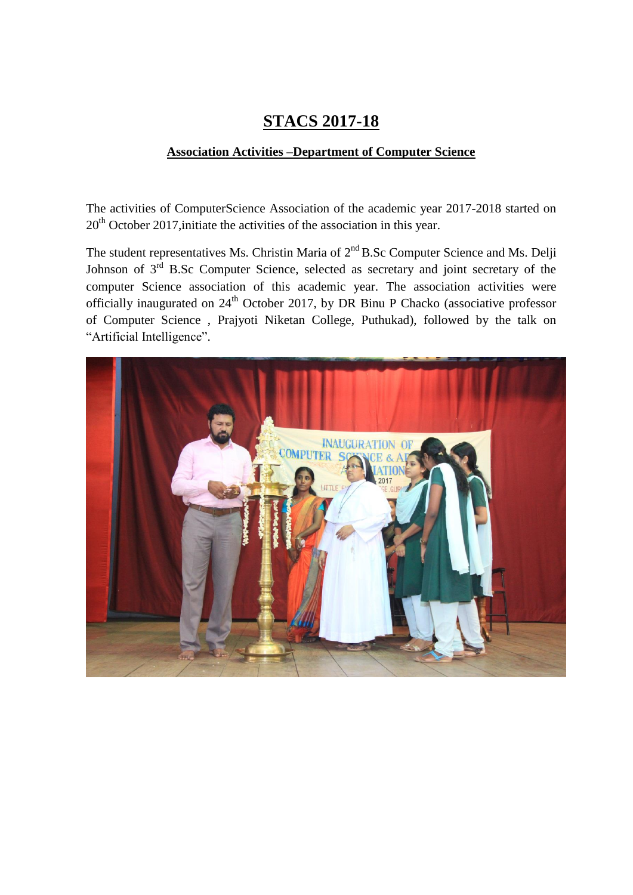## **STACS 2017-18**

## **Association Activities –Department of Computer Science**

The activities of ComputerScience Association of the academic year 2017-2018 started on  $20<sup>th</sup>$  October 2017, initiate the activities of the association in this year.

The student representatives Ms. Christin Maria of  $2<sup>nd</sup>$  B.Sc Computer Science and Ms. Delji Johnson of  $3<sup>rd</sup>$  B.Sc Computer Science, selected as secretary and joint secretary of the computer Science association of this academic year. The association activities were officially inaugurated on  $24<sup>th</sup>$  October 2017, by DR Binu P Chacko (associative professor of Computer Science , Prajyoti Niketan College, Puthukad), followed by the talk on "Artificial Intelligence".

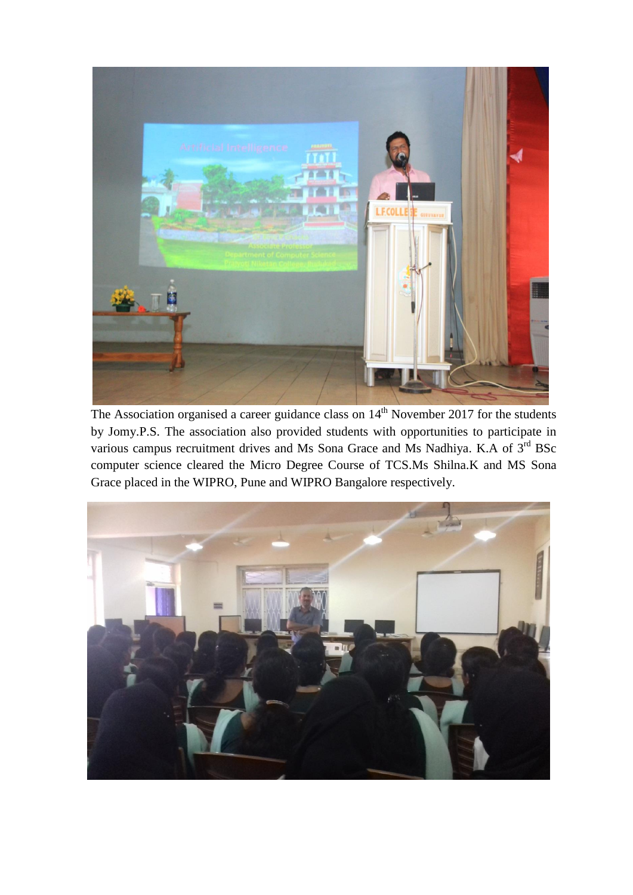

The Association organised a career guidance class on 14<sup>th</sup> November 2017 for the students by Jomy.P.S. The association also provided students with opportunities to participate in various campus recruitment drives and Ms Sona Grace and Ms Nadhiya. K.A of 3<sup>rd</sup> BSc computer science cleared the Micro Degree Course of TCS.Ms Shilna.K and MS Sona Grace placed in the WIPRO, Pune and WIPRO Bangalore respectively.